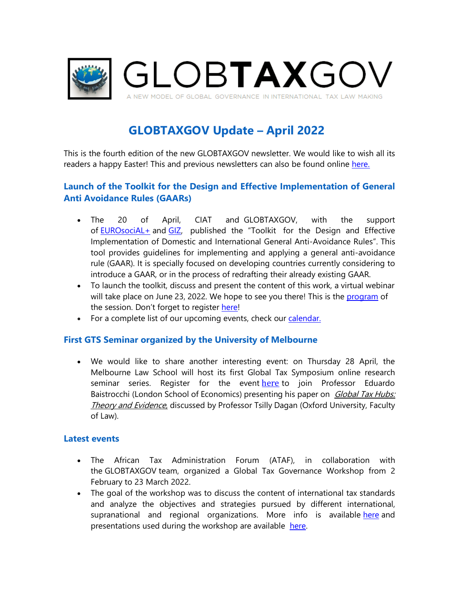

# **GLOBTAXGOV Update – April 2022**

This is the fourth edition of the new GLOBTAXGOV newsletter. We would like to wish all its readers a happy Easter! This and previous newsletters can also be found online [here.](https://eur03.safelinks.protection.outlook.com/?url=https%3A%2F%2Fglobtaxgov.weblog.leidenuniv.nl%2Fnewsletter%2F&data=05%7C01%7Cj.cubillos.gonzalez%40law.leidenuniv.nl%7Cd81f9bc852134aa17f5608da245fa14b%7Cca2a7f76dbd74ec091086b3d524fb7c8%7C0%7C0%7C637862290405734794%7CUnknown%7CTWFpbGZsb3d8eyJWIjoiMC4wLjAwMDAiLCJQIjoiV2luMzIiLCJBTiI6Ik1haWwiLCJXVCI6Mn0%3D%7C3000%7C%7C%7C&sdata=%2B7xsfD884LxMf9%2F4UZPaTcQbSuDwS3JRdQyuDi4pw5M%3D&reserved=0)

# **Launch of the Toolkit for the Design and Effective Implementation of General Anti Avoidance Rules (GAARs)**

- The 20 of April, CIAT and GLOBTAXGOV, with the support of [EUROsociAL+](https://eur03.safelinks.protection.outlook.com/?url=https%3A%2F%2Feurosocial.eu%2Fen%2F&data=05%7C01%7Cj.cubillos.gonzalez%40law.leidenuniv.nl%7Cd81f9bc852134aa17f5608da245fa14b%7Cca2a7f76dbd74ec091086b3d524fb7c8%7C0%7C0%7C637862290405734794%7CUnknown%7CTWFpbGZsb3d8eyJWIjoiMC4wLjAwMDAiLCJQIjoiV2luMzIiLCJBTiI6Ik1haWwiLCJXVCI6Mn0%3D%7C3000%7C%7C%7C&sdata=m7c6Es7E%2FLRkIZRv2VSB2MjIZZHD0GYpWUqPuAujBWM%3D&reserved=0) and [GIZ,](https://eur03.safelinks.protection.outlook.com/?url=https%3A%2F%2Fwww.giz.de%2Fen%2Fhtml%2Findex.html&data=05%7C01%7Cj.cubillos.gonzalez%40law.leidenuniv.nl%7Cd81f9bc852134aa17f5608da245fa14b%7Cca2a7f76dbd74ec091086b3d524fb7c8%7C0%7C0%7C637862290405734794%7CUnknown%7CTWFpbGZsb3d8eyJWIjoiMC4wLjAwMDAiLCJQIjoiV2luMzIiLCJBTiI6Ik1haWwiLCJXVCI6Mn0%3D%7C3000%7C%7C%7C&sdata=Im4%2FDx9axTuARQUwXruWqbW1nlfancvM%2BlLwtQ07GZo%3D&reserved=0) published the "Toolkit for the Design and Effective Implementation of Domestic and International General Anti-Avoidance Rules". This tool provides guidelines for implementing and applying a general anti-avoidance rule (GAAR). It is specially focused on developing countries currently considering to introduce a GAAR, or in the process of redrafting their already existing GAAR.
- To launch the toolkit, discuss and present the content of this work, a virtual webinar will take place on June 23, 2022. We hope to see you there! This is the [program](https://eur03.safelinks.protection.outlook.com/?url=https%3A%2F%2Fglobtaxgov.weblog.leidenuniv.nl%2Ffiles%2F2022%2F04%2FProgram-Toolkit-GAAR-Agenda-webinar.pdf&data=05%7C01%7Cj.cubillos.gonzalez%40law.leidenuniv.nl%7Cd81f9bc852134aa17f5608da245fa14b%7Cca2a7f76dbd74ec091086b3d524fb7c8%7C0%7C0%7C637862290405734794%7CUnknown%7CTWFpbGZsb3d8eyJWIjoiMC4wLjAwMDAiLCJQIjoiV2luMzIiLCJBTiI6Ik1haWwiLCJXVCI6Mn0%3D%7C3000%7C%7C%7C&sdata=rCcq0S05oisbrRSVuV6pTGX19D%2BNHmXmy91XwtD3BVU%3D&reserved=0) of the session. Don't forget to register [here!](https://eur03.safelinks.protection.outlook.com/?url=https%3A%2F%2Fciat-org.zoom.us%2Fwebinar%2Fregister%2FWN_y12NYgvTT_22y6da9WaBUg&data=05%7C01%7Cj.cubillos.gonzalez%40law.leidenuniv.nl%7Cd81f9bc852134aa17f5608da245fa14b%7Cca2a7f76dbd74ec091086b3d524fb7c8%7C0%7C0%7C637862290405734794%7CUnknown%7CTWFpbGZsb3d8eyJWIjoiMC4wLjAwMDAiLCJQIjoiV2luMzIiLCJBTiI6Ik1haWwiLCJXVCI6Mn0%3D%7C3000%7C%7C%7C&sdata=MvwN0D67A6Mv3w4TkUdXz4Xw2MntKoKgcEpRsQxuUCc%3D&reserved=0)
- For a complete list of our upcoming events, check our [calendar.](https://eur03.safelinks.protection.outlook.com/?url=https%3A%2F%2Fglobtaxgov.weblog.leidenuniv.nl%2Fcalendar%2F&data=05%7C01%7Cj.cubillos.gonzalez%40law.leidenuniv.nl%7Cd81f9bc852134aa17f5608da245fa14b%7Cca2a7f76dbd74ec091086b3d524fb7c8%7C0%7C0%7C637862290405734794%7CUnknown%7CTWFpbGZsb3d8eyJWIjoiMC4wLjAwMDAiLCJQIjoiV2luMzIiLCJBTiI6Ik1haWwiLCJXVCI6Mn0%3D%7C3000%7C%7C%7C&sdata=zjg1cs5tZVK%2FX62JHjj6KSQ4Hy22To0Ja%2Fqtiu7V3lA%3D&reserved=0)

#### **First GTS Seminar organized by the University of Melbourne**

• We would like to share another interesting event: on Thursday 28 April, the Melbourne Law School will host its first Global Tax Symposium online research seminar series. Register for the event [here](https://eur03.safelinks.protection.outlook.com/?url=https%3A%2F%2Fevents.unimelb.edu.au%2FTax%2Fevent%2F14776-global-tax-hubs-theory-and-evidence&data=05%7C01%7Cj.cubillos.gonzalez%40law.leidenuniv.nl%7Cd81f9bc852134aa17f5608da245fa14b%7Cca2a7f76dbd74ec091086b3d524fb7c8%7C0%7C0%7C637862290405734794%7CUnknown%7CTWFpbGZsb3d8eyJWIjoiMC4wLjAwMDAiLCJQIjoiV2luMzIiLCJBTiI6Ik1haWwiLCJXVCI6Mn0%3D%7C3000%7C%7C%7C&sdata=9REzpm%2BpHBwbHZjoHTdpBrTF6pPo0qdbMBw%2FJcMJt8g%3D&reserved=0) to join Professor Eduardo Baistrocchi (London School of Economics) presenting his paper on *Global Tax Hubs:* Theory and Evidence, discussed by Professor Tsilly Dagan (Oxford University, Faculty of Law).

#### **Latest events**

- The African Tax Administration Forum (ATAF), in collaboration with the GLOBTAXGOV team, organized a Global Tax Governance Workshop from 2 February to 23 March 2022.
- The goal of the workshop was to discuss the content of international tax standards and analyze the objectives and strategies pursued by different international, supranational and regional organizations. More info is available [here](https://eur03.safelinks.protection.outlook.com/?url=https%3A%2F%2Fwww.ataftax.org%2Finternational-tax-standards-examined-at-ataf-s-global-tax-governance-workshop&data=05%7C01%7Cj.cubillos.gonzalez%40law.leidenuniv.nl%7Cd81f9bc852134aa17f5608da245fa14b%7Cca2a7f76dbd74ec091086b3d524fb7c8%7C0%7C0%7C637862290405734794%7CUnknown%7CTWFpbGZsb3d8eyJWIjoiMC4wLjAwMDAiLCJQIjoiV2luMzIiLCJBTiI6Ik1haWwiLCJXVCI6Mn0%3D%7C3000%7C%7C%7C&sdata=OCcyWbDgUEn8CTYmyfdLniyp59yD4C3bSmEgZmgngik%3D&reserved=0) and presentations used during the workshop are available [here.](https://eur03.safelinks.protection.outlook.com/?url=https%3A%2F%2Fglobtaxgov.weblog.leidenuniv.nl%2Fevent%2Fnavigating-global-tax-governance-a-workshop-with-the-african-tax-administration-forum%2F%3Finstance_id%3D166&data=05%7C01%7Cj.cubillos.gonzalez%40law.leidenuniv.nl%7Cd81f9bc852134aa17f5608da245fa14b%7Cca2a7f76dbd74ec091086b3d524fb7c8%7C0%7C0%7C637862290405734794%7CUnknown%7CTWFpbGZsb3d8eyJWIjoiMC4wLjAwMDAiLCJQIjoiV2luMzIiLCJBTiI6Ik1haWwiLCJXVCI6Mn0%3D%7C3000%7C%7C%7C&sdata=YSn6TNLpbm23ud%2FVmUBkzegy9NP28jb468aBWfGlOQY%3D&reserved=0)